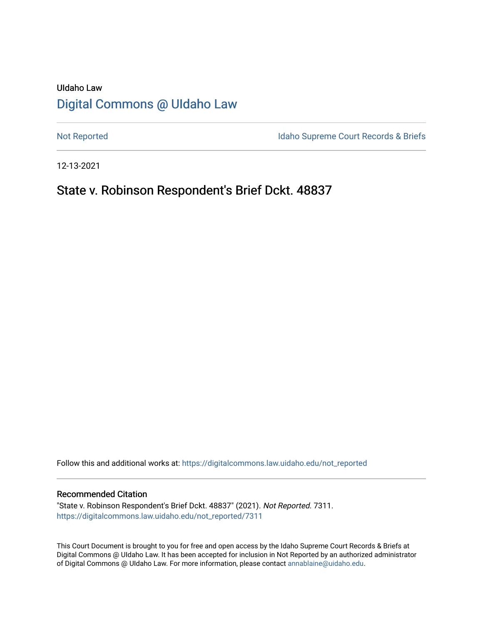# UIdaho Law [Digital Commons @ UIdaho Law](https://digitalcommons.law.uidaho.edu/)

[Not Reported](https://digitalcommons.law.uidaho.edu/not_reported) **Idaho Supreme Court Records & Briefs** 

12-13-2021

# State v. Robinson Respondent's Brief Dckt. 48837

Follow this and additional works at: [https://digitalcommons.law.uidaho.edu/not\\_reported](https://digitalcommons.law.uidaho.edu/not_reported?utm_source=digitalcommons.law.uidaho.edu%2Fnot_reported%2F7311&utm_medium=PDF&utm_campaign=PDFCoverPages) 

#### Recommended Citation

"State v. Robinson Respondent's Brief Dckt. 48837" (2021). Not Reported. 7311. [https://digitalcommons.law.uidaho.edu/not\\_reported/7311](https://digitalcommons.law.uidaho.edu/not_reported/7311?utm_source=digitalcommons.law.uidaho.edu%2Fnot_reported%2F7311&utm_medium=PDF&utm_campaign=PDFCoverPages)

This Court Document is brought to you for free and open access by the Idaho Supreme Court Records & Briefs at Digital Commons @ UIdaho Law. It has been accepted for inclusion in Not Reported by an authorized administrator of Digital Commons @ UIdaho Law. For more information, please contact [annablaine@uidaho.edu](mailto:annablaine@uidaho.edu).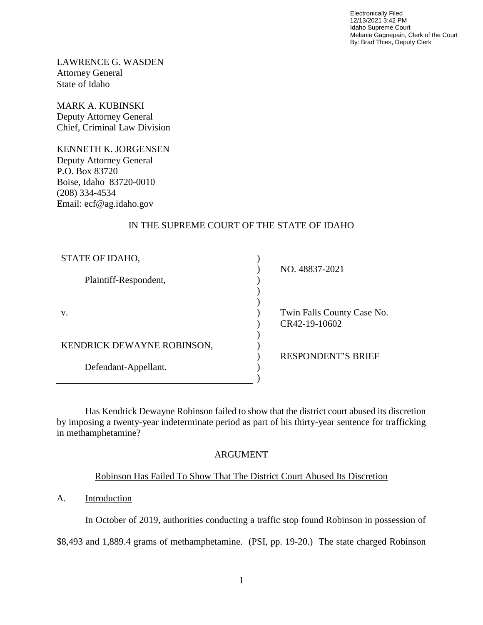Electronically Filed 12/13/2021 3:42 PM Idaho Supreme Court Melanie Gagnepain, Clerk of the Court By: Brad Thies, Deputy Clerk

LAWRENCE G. WASDEN Attorney General State of Idaho

MARK A. KUBINSKI Deputy Attorney General Chief, Criminal Law Division

KENNETH K. JORGENSEN Deputy Attorney General P.O. Box 83720 Boise, Idaho 83720-0010 (208) 334-4534 Email: ecf@ag.idaho.gov

## IN THE SUPREME COURT OF THE STATE OF IDAHO

| STATE OF IDAHO,                                          |                            |
|----------------------------------------------------------|----------------------------|
|                                                          | NO. 48837-2021             |
| Plaintiff-Respondent,                                    |                            |
|                                                          |                            |
|                                                          |                            |
| V.<br>KENDRICK DEWAYNE ROBINSON,<br>Defendant-Appellant. | Twin Falls County Case No. |
|                                                          | CR42-19-10602              |
|                                                          |                            |
|                                                          |                            |
|                                                          | <b>RESPONDENT'S BRIEF</b>  |
|                                                          |                            |
|                                                          |                            |

Has Kendrick Dewayne Robinson failed to show that the district court abused its discretion by imposing a twenty-year indeterminate period as part of his thirty-year sentence for trafficking in methamphetamine?

## ARGUMENT

## Robinson Has Failed To Show That The District Court Abused Its Discretion

## A. Introduction

In October of 2019, authorities conducting a traffic stop found Robinson in possession of

\$8,493 and 1,889.4 grams of methamphetamine. (PSI, pp. 19-20.) The state charged Robinson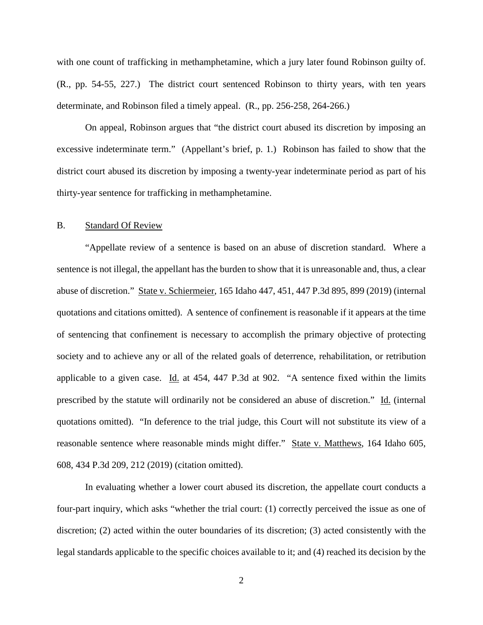with one count of trafficking in methamphetamine, which a jury later found Robinson guilty of. (R., pp. 54-55, 227.) The district court sentenced Robinson to thirty years, with ten years determinate, and Robinson filed a timely appeal. (R., pp. 256-258, 264-266.)

On appeal, Robinson argues that "the district court abused its discretion by imposing an excessive indeterminate term." (Appellant's brief, p. 1.) Robinson has failed to show that the district court abused its discretion by imposing a twenty-year indeterminate period as part of his thirty-year sentence for trafficking in methamphetamine.

## B. Standard Of Review

"Appellate review of a sentence is based on an abuse of discretion standard. Where a sentence is not illegal, the appellant has the burden to show that it is unreasonable and, thus, a clear abuse of discretion." State v. Schiermeier, 165 Idaho 447, 451, 447 P.3d 895, 899 (2019) (internal quotations and citations omitted). A sentence of confinement is reasonable if it appears at the time of sentencing that confinement is necessary to accomplish the primary objective of protecting society and to achieve any or all of the related goals of deterrence, rehabilitation, or retribution applicable to a given case. Id. at 454, 447 P.3d at 902. "A sentence fixed within the limits prescribed by the statute will ordinarily not be considered an abuse of discretion." Id. (internal quotations omitted). "In deference to the trial judge, this Court will not substitute its view of a reasonable sentence where reasonable minds might differ." State v. Matthews, 164 Idaho 605, 608, 434 P.3d 209, 212 (2019) (citation omitted).

In evaluating whether a lower court abused its discretion, the appellate court conducts a four-part inquiry, which asks "whether the trial court: (1) correctly perceived the issue as one of discretion; (2) acted within the outer boundaries of its discretion; (3) acted consistently with the legal standards applicable to the specific choices available to it; and (4) reached its decision by the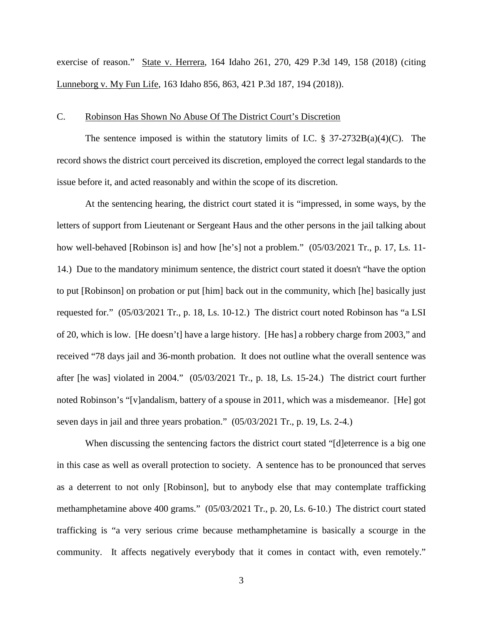exercise of reason." State v. Herrera, 164 Idaho 261, 270, 429 P.3d 149, 158 (2018) (citing Lunneborg v. My Fun Life, 163 Idaho 856, 863, 421 P.3d 187, 194 (2018)).

## C. Robinson Has Shown No Abuse Of The District Court's Discretion

The sentence imposed is within the statutory limits of I.C.  $\S 37-2732B(a)(4)(C)$ . The record shows the district court perceived its discretion, employed the correct legal standards to the issue before it, and acted reasonably and within the scope of its discretion.

At the sentencing hearing, the district court stated it is "impressed, in some ways, by the letters of support from Lieutenant or Sergeant Haus and the other persons in the jail talking about how well-behaved [Robinson is] and how [he's] not a problem."  $(05/03/2021$  Tr., p. 17, Ls. 11-14.) Due to the mandatory minimum sentence, the district court stated it doesn't "have the option to put [Robinson] on probation or put [him] back out in the community, which [he] basically just requested for." (05/03/2021 Tr., p. 18, Ls. 10-12.) The district court noted Robinson has "a LSI of 20, which is low. [He doesn't] have a large history. [He has] a robbery charge from 2003," and received "78 days jail and 36-month probation. It does not outline what the overall sentence was after [he was] violated in 2004." (05/03/2021 Tr., p. 18, Ls. 15-24.) The district court further noted Robinson's "[v]andalism, battery of a spouse in 2011, which was a misdemeanor. [He] got seven days in jail and three years probation." (05/03/2021 Tr., p. 19, Ls. 2-4.)

When discussing the sentencing factors the district court stated "[d]eterrence is a big one in this case as well as overall protection to society. A sentence has to be pronounced that serves as a deterrent to not only [Robinson], but to anybody else that may contemplate trafficking methamphetamine above 400 grams." (05/03/2021 Tr., p. 20, Ls. 6-10.) The district court stated trafficking is "a very serious crime because methamphetamine is basically a scourge in the community. It affects negatively everybody that it comes in contact with, even remotely."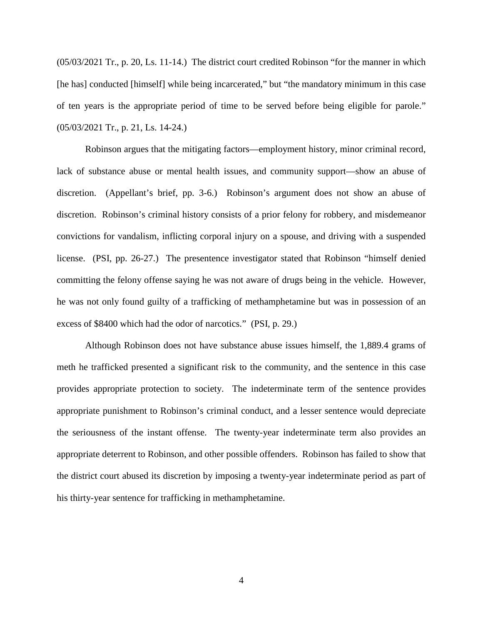(05/03/2021 Tr., p. 20, Ls. 11-14.) The district court credited Robinson "for the manner in which [he has] conducted [himself] while being incarcerated," but "the mandatory minimum in this case of ten years is the appropriate period of time to be served before being eligible for parole." (05/03/2021 Tr., p. 21, Ls. 14-24.)

Robinson argues that the mitigating factors—employment history, minor criminal record, lack of substance abuse or mental health issues, and community support—show an abuse of discretion. (Appellant's brief, pp. 3-6.) Robinson's argument does not show an abuse of discretion. Robinson's criminal history consists of a prior felony for robbery, and misdemeanor convictions for vandalism, inflicting corporal injury on a spouse, and driving with a suspended license. (PSI, pp. 26-27.) The presentence investigator stated that Robinson "himself denied committing the felony offense saying he was not aware of drugs being in the vehicle. However, he was not only found guilty of a trafficking of methamphetamine but was in possession of an excess of \$8400 which had the odor of narcotics." (PSI, p. 29.)

Although Robinson does not have substance abuse issues himself, the 1,889.4 grams of meth he trafficked presented a significant risk to the community, and the sentence in this case provides appropriate protection to society. The indeterminate term of the sentence provides appropriate punishment to Robinson's criminal conduct, and a lesser sentence would depreciate the seriousness of the instant offense. The twenty-year indeterminate term also provides an appropriate deterrent to Robinson, and other possible offenders. Robinson has failed to show that the district court abused its discretion by imposing a twenty-year indeterminate period as part of his thirty-year sentence for trafficking in methamphetamine.